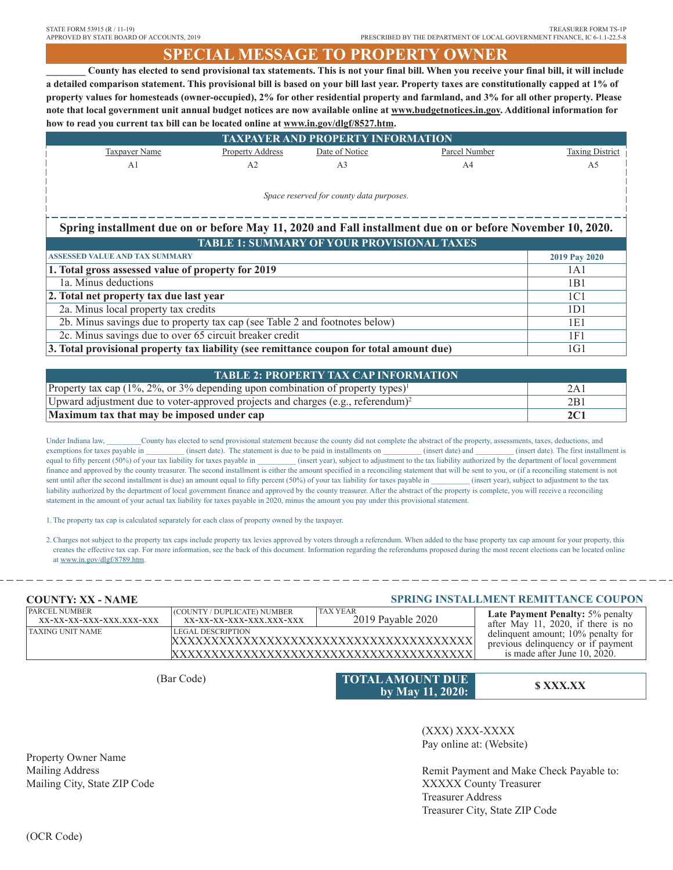# **SPECIAL MESSAGE TO PROPERTY OWNER**

**\_\_\_\_\_\_\_\_ County has elected to send provisional tax statements. This is not your final bill. When you receive your final bill, it will include a detailed comparison statement. This provisional bill is based on your bill last year. Property taxes are constitutionally capped at 1% of property values for homesteads (owner-occupied), 2% for other residential property and farmland, and 3% for all other property. Please note that local government unit annual budget notices are now available online at www.budgetnotices.in.gov. Additional information for how to read you current tax bill can be located online at www.in.gov/dlgf/8527.htm.**

| <b>TAXPAYER AND PROPERTY INFORMATION</b>                                                                  |                         |                |                |                        |  |
|-----------------------------------------------------------------------------------------------------------|-------------------------|----------------|----------------|------------------------|--|
| Taxpayer Name                                                                                             | <b>Property Address</b> | Date of Notice | Parcel Number  | <b>Taxing District</b> |  |
| A <sub>1</sub>                                                                                            | A <sub>2</sub>          | A <sub>3</sub> | A <sup>4</sup> | A5                     |  |
|                                                                                                           |                         |                |                |                        |  |
| Space reserved for county data purposes.                                                                  |                         |                |                |                        |  |
|                                                                                                           |                         |                |                |                        |  |
|                                                                                                           |                         |                |                |                        |  |
| Spring installment due on or before May 11, 2020 and Fall installment due on or before November 10, 2020. |                         |                |                |                        |  |
| <b>TABLE 1: SUMMARY OF YOUR PROVISIONAL TAXES</b>                                                         |                         |                |                |                        |  |
| <b>ASSESSED VALUE AND TAX SUMMARY</b>                                                                     |                         |                | 2019 Pay 2020  |                        |  |
| 1. Total gross assessed value of property for 2019                                                        |                         |                | 1A1            |                        |  |
| 1a. Minus deductions                                                                                      |                         |                |                | 1B1                    |  |
| 2. Total net property tax due last year                                                                   |                         |                | 1C1            |                        |  |
| 2a. Minus local property tax credits                                                                      |                         |                | 1D1            |                        |  |
| 2b. Minus savings due to property tax cap (see Table 2 and footnotes below)                               |                         |                | 1E1            |                        |  |
| 2c. Minus savings due to over 65 circuit breaker credit                                                   |                         |                |                | 1F1                    |  |
| 3. Total provisional property tax liability (see remittance coupon for total amount due)                  |                         |                |                | 1G1                    |  |

| <b>TABLE 2: PROPERTY TAX CAP INFORMATION</b>                                                 |     |  |  |  |
|----------------------------------------------------------------------------------------------|-----|--|--|--|
| Property tax cap (1%, 2%, or 3% depending upon combination of property types) <sup>1</sup>   | 2Α  |  |  |  |
| Upward adjustment due to voter-approved projects and charges (e.g., referendum) <sup>2</sup> | 2B1 |  |  |  |
| Maximum tax that may be imposed under cap                                                    |     |  |  |  |

Under Indiana law, County has elected to send provisional statement because the county did not complete the abstract of the property, assessments, taxes, deductions, and exemptions for taxes payable in  $\qquad$  (insert date). The statement is due to be paid in installments on  $\qquad$  (insert date) and  $\qquad$  (insert date). The first installment is equal to fifty percent (50%) of your tax liability for taxes payable in  $(insert year)$ , subject to adjustment to the tax liability authorized by the department of local government finance and approved by the county treasurer. The second installment is either the amount specified in a reconciling statement that will be sent to you, or (if a reconciling statement is not sent until after the second installment is due) an amount equal to fifty percent (50%) of your tax liability for taxes payable in (insert year), subject to adjustment to the tax liability authorized by the department of local government finance and approved by the county treasurer. After the abstract of the property is complete, you will receive a reconciling statement in the amount of your actual tax liability for taxes payable in 2020, minus the amount you pay under this provisional statement.

1. The property tax cap is calculated separately for each class of property owned by the taxpayer.

2. Charges not subject to the property tax caps include property tax levies approved by voters through a referendum. When added to the base property tax cap amount for your property, this creates the effective tax cap. For more information, see the back of this document. Information regarding the referendums proposed during the most recent elections can be located online at www.in.gov/dlgf/8789.htm.

#### **Late Payment Penalty:** 5% penalty after May 11, 2020, if there is no delinquent amount; 10% penalty for previous delinquency or if payment is made after June 10, 2020. PARCEL NUMBER (COUNTY / DUPLICATE) NUMBER<br>XX-XX-XXX-XXX-XXX.XXX-XXX (XX-XX-XXX-XXX.XXX-X LEGAL DESCRIPTION 2019 Payable 2020 TAX YEAR TAXING UNIT NAME **COUNTY: XX - NAME SPRING INSTALLMENT REMITTANCE COUPON**  $XX-XX-XX-XXX-XXX.XXX-XXX$ XXXXXXXXXXXXXXXXXXXXXXXXXXXXXXXXXXXXXX XXXXXXXXXXXXXXXXXXXXXXXXXXXXXXXXXXXXXX

(Bar Code) **TOTAL AMOUNT DUE**<br> **\$ XXX.XX** (Bar Code) **5 XXX.XX by May 11, 2020:**

(XXX) XXX-XXXX Pay online at: (Website)

Remit Payment and Make Check Payable to: XXXXX County Treasurer Treasurer Address Treasurer City, State ZIP Code

Property Owner Name Mailing Address Mailing City, State ZIP Code